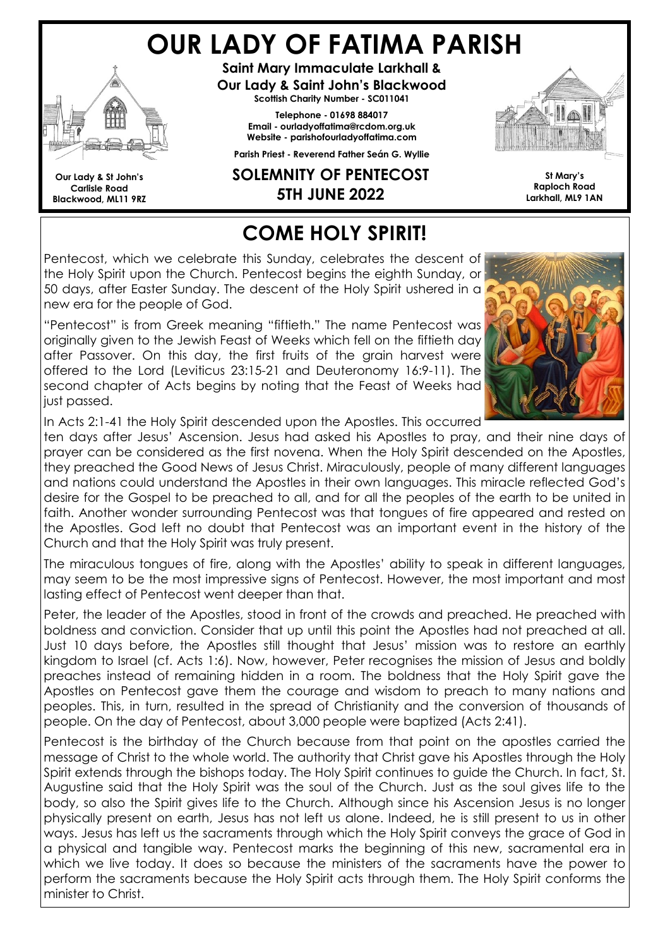# OUR LADY OF FATIMA PARISH



Our Lady & St John's Carlisle Road Blackwood, ML11 9RZ

Saint Mary Immaculate Larkhall & Our Lady & Saint John's Blackwood Scottish Charity Number - SC011041

Telephone - 01698 884017 Email - ourladyoffatima@rcdom.org.uk Website - parishofourladyoffatima.com Parish Priest - Reverend Father Seán G. Wyllie

#### SOLEMNITY OF PENTECOST 5TH JUNE 2022



St Mary's Raploch Road Larkhall, ML9 1AN

# COME HOLY SPIRIT!

Pentecost, which we celebrate this Sunday, celebrates the descent of the Holy Spirit upon the Church. Pentecost begins the eighth Sunday, or 50 days, after Easter Sunday. The descent of the Holy Spirit ushered in a new era for the people of God.

"Pentecost" is from Greek meaning "fiftieth." The name Pentecost was originally given to the Jewish Feast of Weeks which fell on the fiftieth day after Passover. On this day, the first fruits of the grain harvest were offered to the Lord (Leviticus 23:15-21 and Deuteronomy 16:9-11). The second chapter of Acts begins by noting that the Feast of Weeks had just passed.



In Acts 2:1-41 the Holy Spirit descended upon the Apostles. This occurred

ten days after Jesus' Ascension. Jesus had asked his Apostles to pray, and their nine days of prayer can be considered as the first novena. When the Holy Spirit descended on the Apostles, they preached the Good News of Jesus Christ. Miraculously, people of many different languages and nations could understand the Apostles in their own languages. This miracle reflected God's desire for the Gospel to be preached to all, and for all the peoples of the earth to be united in faith. Another wonder surrounding Pentecost was that tongues of fire appeared and rested on the Apostles. God left no doubt that Pentecost was an important event in the history of the Church and that the Holy Spirit was truly present.

The miraculous tongues of fire, along with the Apostles' ability to speak in different languages, may seem to be the most impressive signs of Pentecost. However, the most important and most lasting effect of Pentecost went deeper than that.

Peter, the leader of the Apostles, stood in front of the crowds and preached. He preached with boldness and conviction. Consider that up until this point the Apostles had not preached at all. Just 10 days before, the Apostles still thought that Jesus' mission was to restore an earthly kingdom to Israel (cf. Acts 1:6). Now, however, Peter recognises the mission of Jesus and boldly preaches instead of remaining hidden in a room. The boldness that the Holy Spirit gave the Apostles on Pentecost gave them the courage and wisdom to preach to many nations and peoples. This, in turn, resulted in the spread of Christianity and the conversion of thousands of people. On the day of Pentecost, about 3,000 people were baptized (Acts 2:41).

Pentecost is the birthday of the Church because from that point on the apostles carried the message of Christ to the whole world. The authority that Christ gave his Apostles through the Holy Spirit extends through the bishops today. The Holy Spirit continues to guide the Church. In fact, St. Augustine said that the Holy Spirit was the soul of the Church. Just as the soul gives life to the body, so also the Spirit gives life to the Church. Although since his Ascension Jesus is no longer physically present on earth, Jesus has not left us alone. Indeed, he is still present to us in other ways. Jesus has left us the sacraments through which the Holy Spirit conveys the grace of God in a physical and tangible way. Pentecost marks the beginning of this new, sacramental era in which we live today. It does so because the ministers of the sacraments have the power to perform the sacraments because the Holy Spirit acts through them. The Holy Spirit conforms the minister to Christ.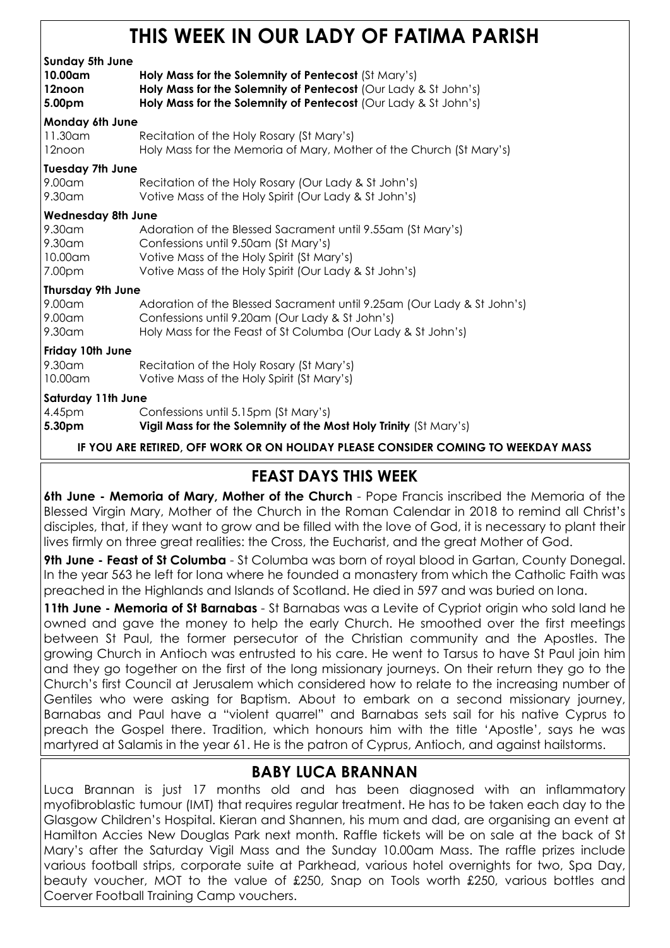## THIS WEEK IN OUR LADY OF FATIMA PARISH

| <b>Sunday 5th June</b><br>10.00am<br>12noon<br>5.00pm | Holy Mass for the Solemnity of Pentecost (St Mary's)<br>Holy Mass for the Solemnity of Pentecost (Our Lady & St John's)<br>Holy Mass for the Solemnity of Pentecost (Our Lady & St John's)                 |  |  |
|-------------------------------------------------------|------------------------------------------------------------------------------------------------------------------------------------------------------------------------------------------------------------|--|--|
| Monday 6th June                                       |                                                                                                                                                                                                            |  |  |
| 11.30 am<br>12noon                                    | Recitation of the Holy Rosary (St Mary's)<br>Holy Mass for the Memoria of Mary, Mother of the Church (St Mary's)                                                                                           |  |  |
| <b>Tuesday 7th June</b>                               |                                                                                                                                                                                                            |  |  |
| 9.00am<br>$9.30$ am                                   | Recitation of the Holy Rosary (Our Lady & St John's)<br>Votive Mass of the Holy Spirit (Our Lady & St John's)                                                                                              |  |  |
| <b>Wednesday 8th June</b>                             |                                                                                                                                                                                                            |  |  |
| 9.30am<br>9.30am<br>10.00am<br>7.00pm                 | Adoration of the Blessed Sacrament until 9.55am (St Mary's)<br>Confessions until 9.50am (St Mary's)<br>Votive Mass of the Holy Spirit (St Mary's)<br>Votive Mass of the Holy Spirit (Our Lady & St John's) |  |  |
| <b>Thursday 9th June</b>                              |                                                                                                                                                                                                            |  |  |
| 9.00am<br>9.00am<br>9.30am                            | Adoration of the Blessed Sacrament until 9.25am (Our Lady & St John's)<br>Confessions until 9.20am (Our Lady & St John's)<br>Holy Mass for the Feast of St Columba (Our Lady & St John's)                  |  |  |
| Friday 10th June                                      |                                                                                                                                                                                                            |  |  |
| 9.30am<br>10.00am                                     | Recitation of the Holy Rosary (St Mary's)<br>Votive Mass of the Holy Spirit (St Mary's)                                                                                                                    |  |  |
| <b>Saturday 11th June</b>                             |                                                                                                                                                                                                            |  |  |
| 4.45pm<br>5.30pm                                      | Confessions until 5.15pm (St Mary's)<br>Vigil Mass for the Solemnity of the Most Holy Trinity (St Mary's)                                                                                                  |  |  |

IF YOU ARE RETIRED, OFF WORK OR ON HOLIDAY PLEASE CONSIDER COMING TO WEEKDAY MASS

#### FEAST DAYS THIS WEEK

6th June - Memoria of Mary, Mother of the Church - Pope Francis inscribed the Memoria of the Blessed Virgin Mary, Mother of the Church in the Roman Calendar in 2018 to remind all Christ's disciples, that, if they want to grow and be filled with the love of God, it is necessary to plant their lives firmly on three great realities: the Cross, the Eucharist, and the great Mother of God.

9th June - Feast of St Columba - St Columba was born of royal blood in Gartan, County Donegal. In the year 563 he left for Iona where he founded a monastery from which the Catholic Faith was preached in the Highlands and Islands of Scotland. He died in 597 and was buried on Iona.

11th June - Memoria of St Barnabas - St Barnabas was a Levite of Cypriot origin who sold land he owned and gave the money to help the early Church. He smoothed over the first meetings between St Paul, the former persecutor of the Christian community and the Apostles. The growing Church in Antioch was entrusted to his care. He went to Tarsus to have St Paul join him and they go together on the first of the long missionary journeys. On their return they go to the Church's first Council at Jerusalem which considered how to relate to the increasing number of Gentiles who were asking for Baptism. About to embark on a second missionary journey, Barnabas and Paul have a "violent quarrel" and Barnabas sets sail for his native Cyprus to preach the Gospel there. Tradition, which honours him with the title 'Apostle', says he was martyred at Salamis in the year 61. He is the patron of Cyprus, Antioch, and against hailstorms.

#### BABY LUCA BRANNAN

Luca Brannan is just 17 months old and has been diagnosed with an inflammatory myofibroblastic tumour (IMT) that requires regular treatment. He has to be taken each day to the Glasgow Children's Hospital. Kieran and Shannen, his mum and dad, are organising an event at Hamilton Accies New Douglas Park next month. Raffle tickets will be on sale at the back of St Mary's after the Saturday Vigil Mass and the Sunday 10.00am Mass. The raffle prizes include various football strips, corporate suite at Parkhead, various hotel overnights for two, Spa Day, beauty voucher, MOT to the value of £250, Snap on Tools worth £250, various bottles and Coerver Football Training Camp vouchers.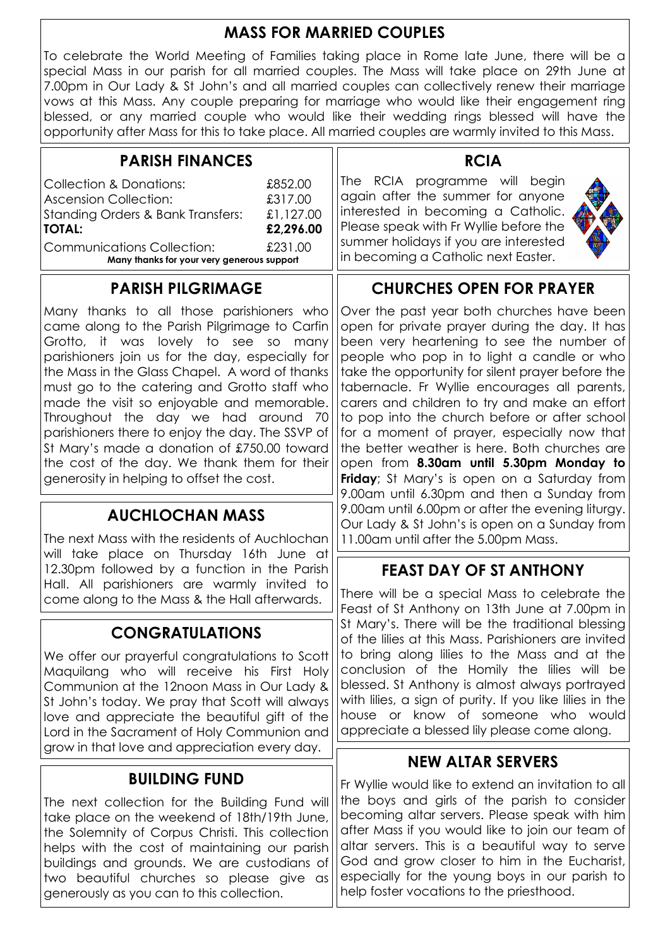#### MASS FOR MARRIED COUPLES

To celebrate the World Meeting of Families taking place in Rome late June, there will be a special Mass in our parish for all married couples. The Mass will take place on 29th June at 7.00pm in Our Lady & St John's and all married couples can collectively renew their marriage vows at this Mass. Any couple preparing for marriage who would like their engagement ring blessed, or any married couple who would like their wedding rings blessed will have the opportunity after Mass for this to take place. All married couples are warmly invited to this Mass.

| <b>PARISH FINANCES</b>                                                                                                                                                                                                                                                                                                                                                                                                            |                                              | <b>RCIA</b>                                                                                                                                                                                                                                                                                                                                                                                                                                    |
|-----------------------------------------------------------------------------------------------------------------------------------------------------------------------------------------------------------------------------------------------------------------------------------------------------------------------------------------------------------------------------------------------------------------------------------|----------------------------------------------|------------------------------------------------------------------------------------------------------------------------------------------------------------------------------------------------------------------------------------------------------------------------------------------------------------------------------------------------------------------------------------------------------------------------------------------------|
| <b>Collection &amp; Donations:</b><br><b>Ascension Collection:</b><br><b>Standing Orders &amp; Bank Transfers:</b><br><b>TOTAL:</b>                                                                                                                                                                                                                                                                                               | £852.00<br>£317.00<br>£1,127.00<br>£2,296.00 | The RCIA programme will begin<br>again after the summer for anyone<br>interested in becoming a Catholic.<br>Please speak with Fr Wyllie before the                                                                                                                                                                                                                                                                                             |
| <b>Communications Collection:</b><br>Many thanks for your very generous support                                                                                                                                                                                                                                                                                                                                                   | £231.00                                      | summer holidays if you are interested<br>in becoming a Catholic next Easter.                                                                                                                                                                                                                                                                                                                                                                   |
| <b>PARISH PILGRIMAGE</b>                                                                                                                                                                                                                                                                                                                                                                                                          |                                              | <b>CHURCHES OPEN FOR PRAYER</b>                                                                                                                                                                                                                                                                                                                                                                                                                |
| Many thanks to all those parishioners who<br>came along to the Parish Pilgrimage to Carfin<br>Grotto, it was lovely to see so many<br>parishioners join us for the day, especially for<br>the Mass in the Glass Chapel. A word of thanks<br>must go to the catering and Grotto staff who<br>made the visit so enjoyable and memorable.<br>Throughout the day we had around 70<br>parishioners there to enjoy the day. The SSVP of |                                              | Over the past year both churches have been<br>open for private prayer during the day. It has<br>been very heartening to see the number of<br>people who pop in to light a candle or who<br>take the opportunity for silent prayer before the<br>tabernacle. Fr Wyllie encourages all parents,<br>carers and children to try and make an effort<br>to pop into the church before or after school<br>for a moment of prayer, especially now that |

#### St Mary's made a donation of £750.00 toward the cost of the day. We thank them for their

generosity in helping to offset the cost.

#### AUCHLOCHAN MASS

The next Mass with the residents of Auchlochan will take place on Thursday 16th June at 12.30pm followed by a function in the Parish Hall. All parishioners are warmly invited to come along to the Mass & the Hall afterwards.

#### CONGRATULATIONS

We offer our prayerful congratulations to Scott Maquilang who will receive his First Holy Communion at the 12noon Mass in Our Lady & St John's today. We pray that Scott will always love and appreciate the beautiful gift of the Lord in the Sacrament of Holy Communion and grow in that love and appreciation every day.

#### BUILDING FUND

The next collection for the Building Fund will take place on the weekend of 18th/19th June, the Solemnity of Corpus Christi. This collection helps with the cost of maintaining our parish buildings and grounds. We are custodians of two beautiful churches so please give as generously as you can to this collection.

a moment ot prayer, especially now that the better weather is here. Both churches are open from 8.30am until 5.30pm Monday to Friday; St Mary's is open on a Saturday from 9.00am until 6.30pm and then a Sunday from 9.00am until 6.00pm or after the evening liturgy. Our Lady & St John's is open on a Sunday from 11.00am until after the 5.00pm Mass.

#### FEAST DAY OF ST ANTHONY

There will be a special Mass to celebrate the Feast of St Anthony on 13th June at 7.00pm in St Mary's. There will be the traditional blessing of the lilies at this Mass. Parishioners are invited to bring along lilies to the Mass and at the conclusion of the Homily the lilies will be blessed. St Anthony is almost always portrayed with lilies, a sign of purity. If you like lilies in the house or know of someone who would appreciate a blessed lily please come along.

#### NEW ALTAR SERVERS

Fr Wyllie would like to extend an invitation to all the boys and girls of the parish to consider becoming altar servers. Please speak with him after Mass if you would like to join our team of altar servers. This is a beautiful way to serve God and grow closer to him in the Eucharist, especially for the young boys in our parish to help foster vocations to the priesthood.